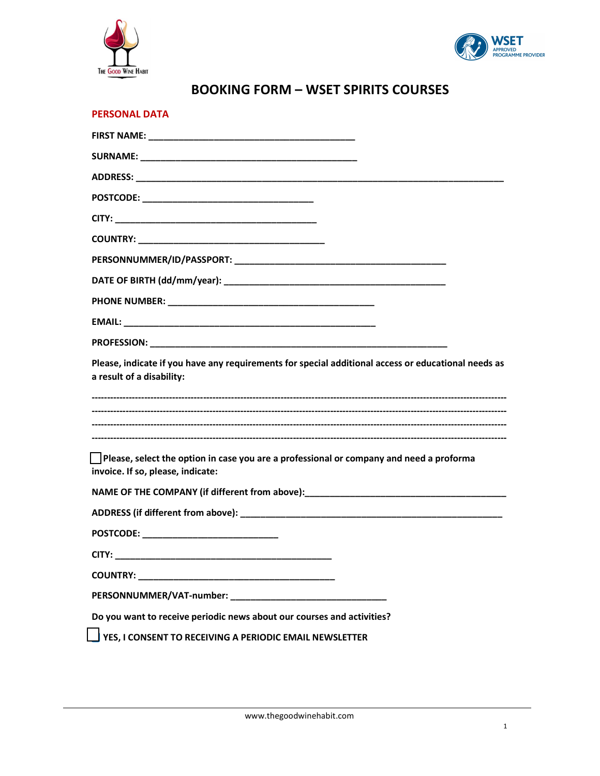



# BOOKING FORM – WSET SPIRITS COURSES

| <b>PERSONAL DATA</b>                                                                                                             |
|----------------------------------------------------------------------------------------------------------------------------------|
|                                                                                                                                  |
|                                                                                                                                  |
|                                                                                                                                  |
|                                                                                                                                  |
|                                                                                                                                  |
|                                                                                                                                  |
|                                                                                                                                  |
|                                                                                                                                  |
|                                                                                                                                  |
|                                                                                                                                  |
|                                                                                                                                  |
| Please, indicate if you have any requirements for special additional access or educational needs as<br>a result of a disability: |
|                                                                                                                                  |
|                                                                                                                                  |
|                                                                                                                                  |
| Please, select the option in case you are a professional or company and need a proforma<br>invoice. If so, please, indicate:     |
| NAME OF THE COMPANY (if different from above):__________________________________                                                 |
|                                                                                                                                  |
|                                                                                                                                  |
|                                                                                                                                  |
|                                                                                                                                  |
|                                                                                                                                  |
|                                                                                                                                  |
| Do you want to receive periodic news about our courses and activities?                                                           |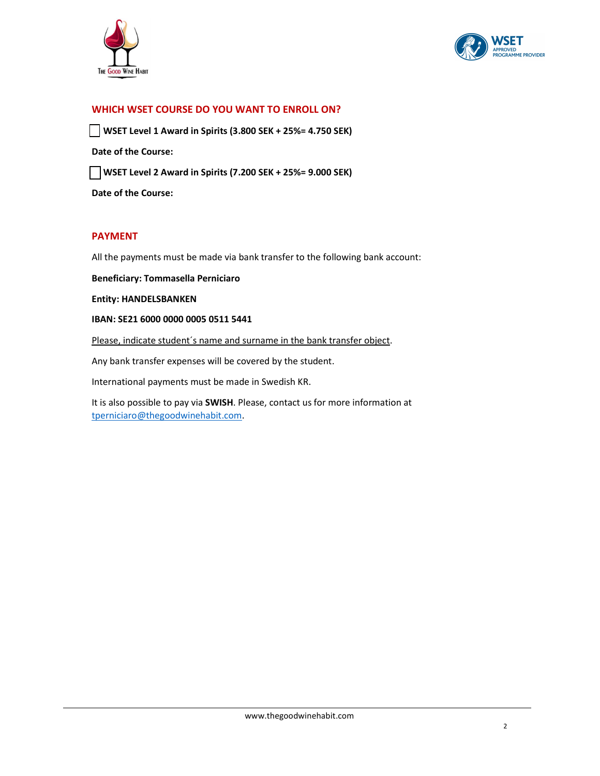



## WHICH WSET COURSE DO YOU WANT TO ENROLL ON?

WSET Level 1 Award in Spirits (3.800 SEK + 25%= 4.750 SEK)

Date of the Course:

WSET Level 2 Award in Spirits (7.200 SEK + 25%= 9.000 SEK)

Date of the Course:

## PAYMENT

All the payments must be made via bank transfer to the following bank account:

Beneficiary: Tommasella Perniciaro

Entity: HANDELSBANKEN

IBAN: SE21 6000 0000 0005 0511 5441

Please, indicate student's name and surname in the bank transfer object.

Any bank transfer expenses will be covered by the student.

International payments must be made in Swedish KR.

It is also possible to pay via SWISH. Please, contact us for more information at tperniciaro@thegoodwinehabit.com.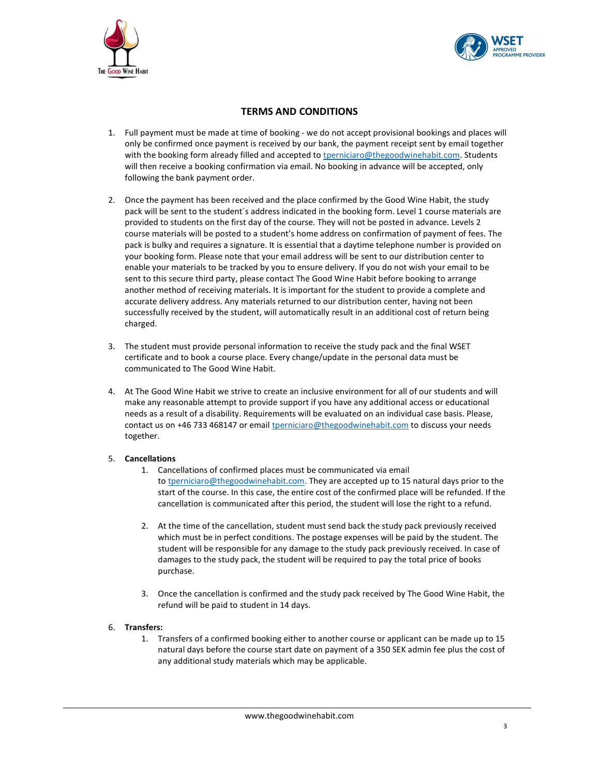



## TERMS AND CONDITIONS

- 1. Full payment must be made at time of booking we do not accept provisional bookings and places will only be confirmed once payment is received by our bank, the payment receipt sent by email together with the booking form already filled and accepted to tperniciaro@thegoodwinehabit.com. Students will then receive a booking confirmation via email. No booking in advance will be accepted, only following the bank payment order.
- 2. Once the payment has been received and the place confirmed by the Good Wine Habit, the study pack will be sent to the student´s address indicated in the booking form. Level 1 course materials are provided to students on the first day of the course. They will not be posted in advance. Levels 2 course materials will be posted to a student's home address on confirmation of payment of fees. The pack is bulky and requires a signature. It is essential that a daytime telephone number is provided on your booking form. Please note that your email address will be sent to our distribution center to enable your materials to be tracked by you to ensure delivery. If you do not wish your email to be sent to this secure third party, please contact The Good Wine Habit before booking to arrange another method of receiving materials. It is important for the student to provide a complete and accurate delivery address. Any materials returned to our distribution center, having not been successfully received by the student, will automatically result in an additional cost of return being charged.
- 3. The student must provide personal information to receive the study pack and the final WSET certificate and to book a course place. Every change/update in the personal data must be communicated to The Good Wine Habit.
- 4. At The Good Wine Habit we strive to create an inclusive environment for all of our students and will make any reasonable attempt to provide support if you have any additional access or educational needs as a result of a disability. Requirements will be evaluated on an individual case basis. Please, contact us on +46 733 468147 or email tperniciaro@thegoodwinehabit.com to discuss your needs together.

### 5. Cancellations

- 1. Cancellations of confirmed places must be communicated via email to tperniciaro@thegoodwinehabit.com. They are accepted up to 15 natural days prior to the start of the course. In this case, the entire cost of the confirmed place will be refunded. If the cancellation is communicated after this period, the student will lose the right to a refund.
- 2. At the time of the cancellation, student must send back the study pack previously received which must be in perfect conditions. The postage expenses will be paid by the student. The student will be responsible for any damage to the study pack previously received. In case of damages to the study pack, the student will be required to pay the total price of books purchase.
- 3. Once the cancellation is confirmed and the study pack received by The Good Wine Habit, the refund will be paid to student in 14 days.

### 6. Transfers:

1. Transfers of a confirmed booking either to another course or applicant can be made up to 15 natural days before the course start date on payment of a 350 SEK admin fee plus the cost of any additional study materials which may be applicable.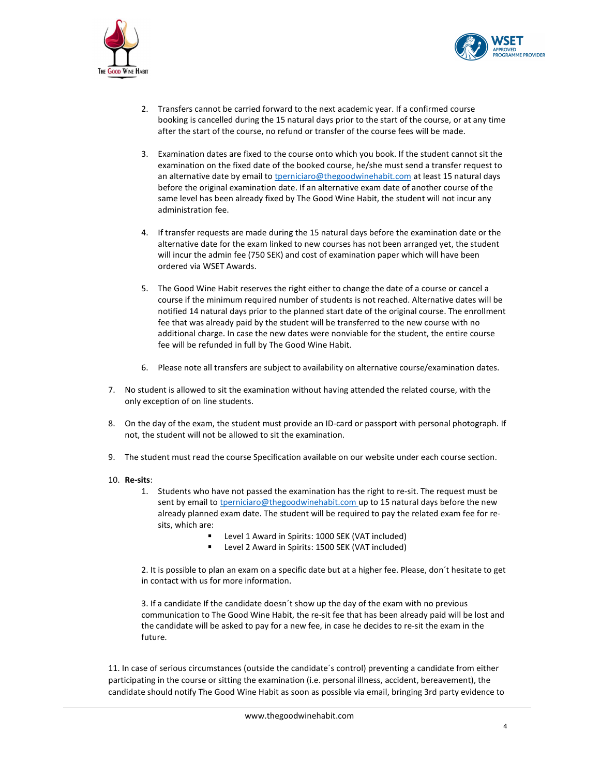



- 2. Transfers cannot be carried forward to the next academic year. If a confirmed course booking is cancelled during the 15 natural days prior to the start of the course, or at any time after the start of the course, no refund or transfer of the course fees will be made.
- 3. Examination dates are fixed to the course onto which you book. If the student cannot sit the examination on the fixed date of the booked course, he/she must send a transfer request to an alternative date by email to tperniciaro@thegoodwinehabit.com at least 15 natural days before the original examination date. If an alternative exam date of another course of the same level has been already fixed by The Good Wine Habit, the student will not incur any administration fee.
- 4. If transfer requests are made during the 15 natural days before the examination date or the alternative date for the exam linked to new courses has not been arranged yet, the student will incur the admin fee (750 SEK) and cost of examination paper which will have been ordered via WSET Awards.
- 5. The Good Wine Habit reserves the right either to change the date of a course or cancel a course if the minimum required number of students is not reached. Alternative dates will be notified 14 natural days prior to the planned start date of the original course. The enrollment fee that was already paid by the student will be transferred to the new course with no additional charge. In case the new dates were nonviable for the student, the entire course fee will be refunded in full by The Good Wine Habit.
- 6. Please note all transfers are subject to availability on alternative course/examination dates.
- 7. No student is allowed to sit the examination without having attended the related course, with the only exception of on line students.
- 8. On the day of the exam, the student must provide an ID-card or passport with personal photograph. If not, the student will not be allowed to sit the examination.
- 9. The student must read the course Specification available on our website under each course section.
- 10. Re-sits:
	- 1. Students who have not passed the examination has the right to re-sit. The request must be sent by email to tperniciaro@thegoodwinehabit.com up to 15 natural days before the new already planned exam date. The student will be required to pay the related exam fee for resits, which are:
		- Level 1 Award in Spirits: 1000 SEK (VAT included)
		- Level 2 Award in Spirits: 1500 SEK (VAT included)

2. It is possible to plan an exam on a specific date but at a higher fee. Please, don´t hesitate to get in contact with us for more information.

3. If a candidate If the candidate doesn´t show up the day of the exam with no previous communication to The Good Wine Habit, the re-sit fee that has been already paid will be lost and the candidate will be asked to pay for a new fee, in case he decides to re-sit the exam in the future.

11. In case of serious circumstances (outside the candidate´s control) preventing a candidate from either participating in the course or sitting the examination (i.e. personal illness, accident, bereavement), the candidate should notify The Good Wine Habit as soon as possible via email, bringing 3rd party evidence to